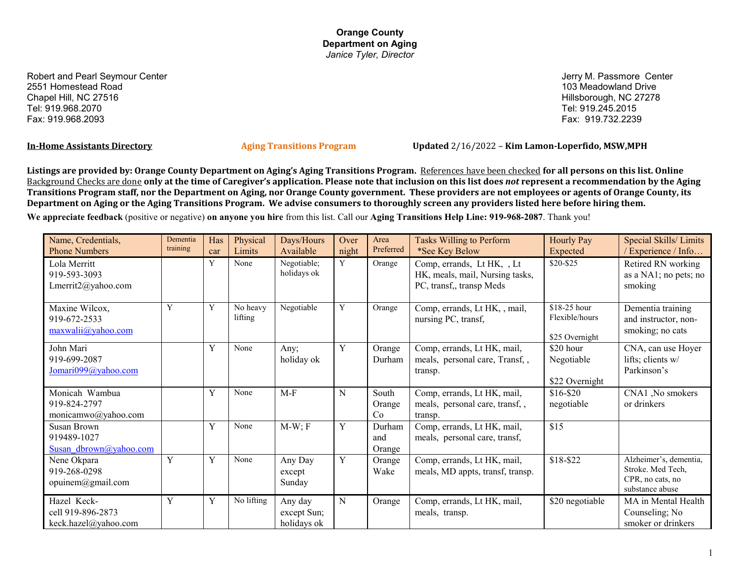Robert and Pearl Seymour Center 2551 Homestead Road Chapel Hill, NC 27516 Tel: 919.968.2070 Fax: 919.968.2093

Jerry M. Passmore Center 103 Meadowland Drive Hillsborough, NC 27278 Tel: 919.245.2015 Fax: 919.732.2239

**In-Home Assistants Directory Aging Transitions Program Updated** 2/16/2022 – **Kim Lamon-Loperfido, MSW,MPH**

**Listings are provided by: Orange County Department on Aging's Aging Transitions Program.** References have been checked **for all persons on this list. Online**  Background Checks are done **only at the time of Caregiver's application. Please note that inclusion on this list does** *not* **represent a recommendation by the Aging Transitions Program staff, nor the Department on Aging, nor Orange County government. These providers are not employees or agents of Orange County, its Department on Aging or the Aging Transitions Program. We advise consumers to thoroughly screen any providers listed here before hiring them.**

**We appreciate feedback** (positive or negative) **on anyone you hire** from this list. Call our **Aging Transitions Help Line: 919-968-2087**. Thank you!

| Name, Credentials,<br><b>Phone Numbers</b>                  | Dementia<br>training | Has<br>car | Physical<br><b>Limits</b> | Days/Hours<br>Available               | Over<br>night | Area<br>Preferred       | <b>Tasks Willing to Perform</b><br>*See Key Below                                         | <b>Hourly Pay</b><br>Expected                    | Special Skills/Limits<br>/ Experience / Info                                       |
|-------------------------------------------------------------|----------------------|------------|---------------------------|---------------------------------------|---------------|-------------------------|-------------------------------------------------------------------------------------------|--------------------------------------------------|------------------------------------------------------------------------------------|
| Lola Merritt<br>919-593-3093<br>Lmerrit2@yahoo.com          |                      | Y          | None                      | Negotiable;<br>holidays ok            | Y             | Orange                  | Comp, errands, Lt HK, , Lt<br>HK, meals, mail, Nursing tasks,<br>PC, transf,, transp Meds | \$20-\$25                                        | Retired RN working<br>as a NA1; no pets; no<br>smoking                             |
| Maxine Wilcox,<br>919-672-2533<br>maxwalii@yahoo.com        | Y                    | Y          | No heavy<br>lifting       | Negotiable                            | Y             | Orange                  | Comp, errands, Lt HK, , mail,<br>nursing PC, transf,                                      | \$18-25 hour<br>Flexible/hours<br>\$25 Overnight | Dementia training<br>and instructor, non-<br>smoking; no cats                      |
| John Mari<br>919-699-2087<br>Jomari099@yahoo.com            |                      | Y          | None                      | Any;<br>holiday ok                    | Y             | Orange<br>Durham        | Comp, errands, Lt HK, mail,<br>meals, personal care, Transf,,<br>transp.                  | \$20 hour<br>Negotiable<br>\$22 Overnight        | CNA, can use Hoyer<br>lifts; clients w/<br>Parkinson's                             |
| Monicah Wambua<br>919-824-2797<br>monicamwo@yahoo.com       |                      | Y          | None                      | $M-F$                                 | N             | South<br>Orange<br>Co   | Comp, errands, Lt HK, mail,<br>meals, personal care, transf,,<br>transp.                  | $$16 - $20$<br>negotiable                        | CNA1, No smokers<br>or drinkers                                                    |
| <b>Susan Brown</b><br>919489-1027<br>Susan dbrown@yahoo.com |                      | Y          | None                      | $M-W; F$                              | Y             | Durham<br>and<br>Orange | Comp, errands, Lt HK, mail,<br>meals, personal care, transf,                              | \$15                                             |                                                                                    |
| Nene Okpara<br>919-268-0298<br>opuinem@gmail.com            | Y                    | Y          | None                      | Any Day<br>except<br>Sunday           | Y             | Orange<br>Wake          | Comp, errands, Lt HK, mail,<br>meals, MD appts, transf, transp.                           | \$18-\$22                                        | Alzheimer's, dementia,<br>Stroke. Med Tech,<br>CPR, no cats, no<br>substance abuse |
| Hazel Keck-<br>cell 919-896-2873<br>keck.hazel@yahoo.com    | Y                    | Y          | No lifting                | Any day<br>except Sun;<br>holidays ok | N             | Orange                  | Comp, errands, Lt HK, mail,<br>meals, transp.                                             | \$20 negotiable                                  | MA in Mental Health<br>Counseling; No<br>smoker or drinkers                        |